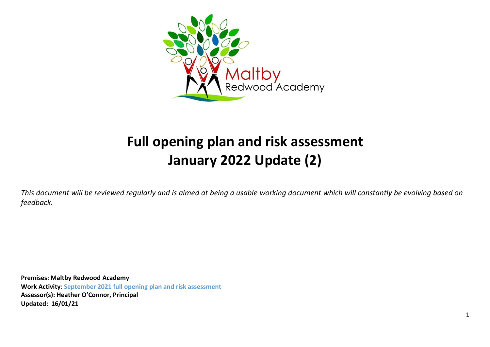

# **Full opening plan and risk assessment January 2022 Update (2)**

*This document will be reviewed regularly and is aimed at being a usable working document which will constantly be evolving based on feedback.*

**Premises: Maltby Redwood Academy Work Activity**: **September 2021 full opening plan and risk assessment Assessor(s): Heather O'Connor, Principal Updated: 16/01/21**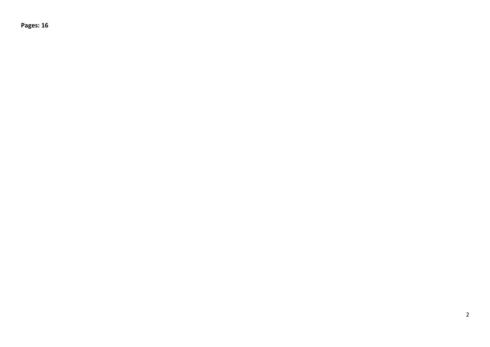**Pages: 16**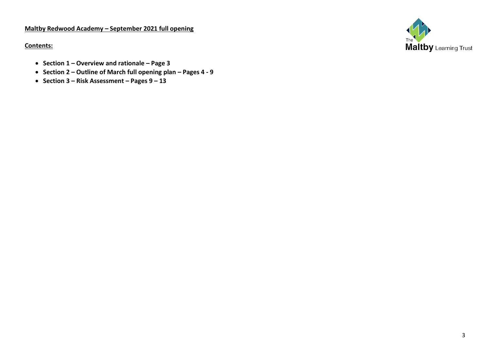# **Maltby Redwood Academy – September 2021 full opening**

**Contents:**

**Maltby** Learning Trust

- **Section 1 – Overview and rationale – Page 3**
- **Section 2 – Outline of March full opening plan – Pages 4 - 9**
- **Section 3 – Risk Assessment – Pages 9 – 13**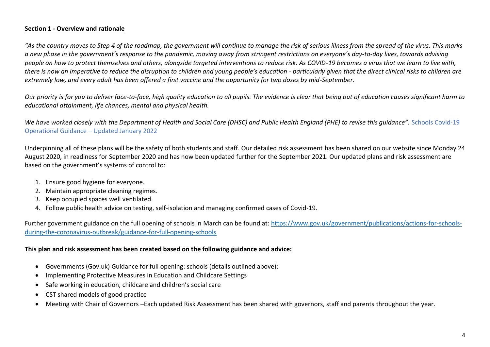#### **Section 1 - Overview and rationale**

*"As the country moves to Step 4 of the roadmap, the government will continue to manage the risk of serious illness from the spread of the virus. This marks a new phase in the government's response to the pandemic, moving away from stringent restrictions on everyone's day-to-day lives, towards advising people on how to protect themselves and others, alongside targeted interventions to reduce risk. As COVID-19 becomes a virus that we learn to live with,*  there is now an imperative to reduce the disruption to children and young people's education - particularly given that the direct clinical risks to children are *extremely low, and every adult has been offered a first vaccine and the opportunity for two doses by mid-September.*

*Our priority is for you to deliver face-to-face, high quality education to all pupils. The evidence is clear that being out of education causes significant harm to educational attainment, life chances, mental and physical health.* 

*We have worked closely with the Department of Health and Social Care (DHSC) and Public Health England (PHE) to revise this guidance".* Schools Covid-19 Operational Guidance – Updated January 2022

Underpinning all of these plans will be the safety of both students and staff. Our detailed risk assessment has been shared on our website since Monday 24 August 2020, in readiness for September 2020 and has now been updated further for the September 2021. Our updated plans and risk assessment are based on the government's systems of control to:

- 1. Ensure good hygiene for everyone.
- 2. Maintain appropriate cleaning regimes.
- 3. Keep occupied spaces well ventilated.
- 4. Follow public health advice on testing, self-isolation and managing confirmed cases of Covid-19.

Further government guidance on the full opening of schools in March can be found at: [https://www.gov.uk/government/publications/actions-for-schools](https://www.gov.uk/government/publications/actions-for-schools-during-the-coronavirus-outbreak/guidance-for-full-opening-schools)[during-the-coronavirus-outbreak/guidance-for-full-opening-schools](https://www.gov.uk/government/publications/actions-for-schools-during-the-coronavirus-outbreak/guidance-for-full-opening-schools)

#### **This plan and risk assessment has been created based on the following guidance and advice:**

- Governments (Gov.uk) Guidance for full opening: schools (details outlined above):
- Implementing Protective Measures in Education and Childcare Settings
- Safe working in education, childcare and children's social care
- CST shared models of good practice
- Meeting with Chair of Governors –Each updated Risk Assessment has been shared with governors, staff and parents throughout the year.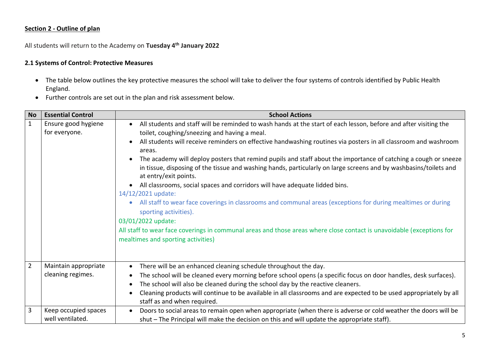# **Section 2 - Outline of plan**

All students will return to the Academy on **Tuesday 4th January 2022**

#### **2.1 Systems of Control: Protective Measures**

- The table below outlines the key protective measures the school will take to deliver the four systems of controls identified by Public Health England.
- Further controls are set out in the plan and risk assessment below.

| <b>No</b>      | <b>Essential Control</b>                  | <b>School Actions</b>                                                                                                                                                                                                                                                                                                                                                                                                                                                                                                                                                                                                                                                                                                                                                                                                                                                                                                                                                                             |
|----------------|-------------------------------------------|---------------------------------------------------------------------------------------------------------------------------------------------------------------------------------------------------------------------------------------------------------------------------------------------------------------------------------------------------------------------------------------------------------------------------------------------------------------------------------------------------------------------------------------------------------------------------------------------------------------------------------------------------------------------------------------------------------------------------------------------------------------------------------------------------------------------------------------------------------------------------------------------------------------------------------------------------------------------------------------------------|
| $\mathbf{1}$   | Ensure good hygiene<br>for everyone.      | All students and staff will be reminded to wash hands at the start of each lesson, before and after visiting the<br>toilet, coughing/sneezing and having a meal.<br>All students will receive reminders on effective handwashing routines via posters in all classroom and washroom<br>areas.<br>The academy will deploy posters that remind pupils and staff about the importance of catching a cough or sneeze<br>in tissue, disposing of the tissue and washing hands, particularly on large screens and by washbasins/toilets and<br>at entry/exit points.<br>All classrooms, social spaces and corridors will have adequate lidded bins.<br>14/12/2021 update:<br>All staff to wear face coverings in classrooms and communal areas (exceptions for during mealtimes or during<br>sporting activities).<br>03/01/2022 update:<br>All staff to wear face coverings in communal areas and those areas where close contact is unavoidable (exceptions for<br>mealtimes and sporting activities) |
| $\overline{2}$ | Maintain appropriate<br>cleaning regimes. | There will be an enhanced cleaning schedule throughout the day.<br>The school will be cleaned every morning before school opens (a specific focus on door handles, desk surfaces).<br>The school will also be cleaned during the school day by the reactive cleaners.<br>Cleaning products will continue to be available in all classrooms and are expected to be used appropriately by all<br>staff as and when required.                                                                                                                                                                                                                                                                                                                                                                                                                                                                                                                                                                        |
| 3              | Keep occupied spaces<br>well ventilated.  | Doors to social areas to remain open when appropriate (when there is adverse or cold weather the doors will be<br>$\bullet$<br>shut - The Principal will make the decision on this and will update the appropriate staff).                                                                                                                                                                                                                                                                                                                                                                                                                                                                                                                                                                                                                                                                                                                                                                        |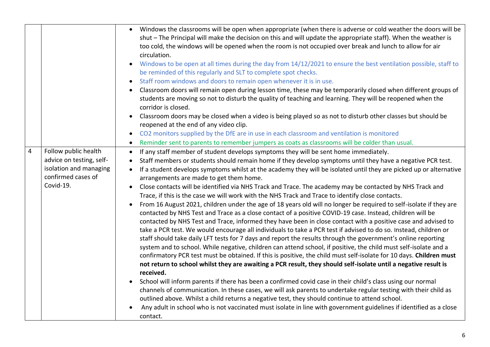|                |                                                                                                               | Windows the classrooms will be open when appropriate (when there is adverse or cold weather the doors will be<br>$\bullet$<br>shut - The Principal will make the decision on this and will update the appropriate staff). When the weather is<br>too cold, the windows will be opened when the room is not occupied over break and lunch to allow for air<br>circulation.<br>Windows to be open at all times during the day from 14/12/2021 to ensure the best ventilation possible, staff to<br>be reminded of this regularly and SLT to complete spot checks.<br>Staff room windows and doors to remain open whenever it is in use.<br>Classroom doors will remain open during lesson time, these may be temporarily closed when different groups of<br>students are moving so not to disturb the quality of teaching and learning. They will be reopened when the<br>corridor is closed.<br>Classroom doors may be closed when a video is being played so as not to disturb other classes but should be<br>reopened at the end of any video clip.<br>CO2 monitors supplied by the DfE are in use in each classroom and ventilation is monitored<br>Reminder sent to parents to remember jumpers as coats as classrooms will be colder than usual.                                                                                                                                                                                                                                                                                                                                                                                                                                                                                                                                                                                                                                                                                                                                                                                                    |
|----------------|---------------------------------------------------------------------------------------------------------------|---------------------------------------------------------------------------------------------------------------------------------------------------------------------------------------------------------------------------------------------------------------------------------------------------------------------------------------------------------------------------------------------------------------------------------------------------------------------------------------------------------------------------------------------------------------------------------------------------------------------------------------------------------------------------------------------------------------------------------------------------------------------------------------------------------------------------------------------------------------------------------------------------------------------------------------------------------------------------------------------------------------------------------------------------------------------------------------------------------------------------------------------------------------------------------------------------------------------------------------------------------------------------------------------------------------------------------------------------------------------------------------------------------------------------------------------------------------------------------------------------------------------------------------------------------------------------------------------------------------------------------------------------------------------------------------------------------------------------------------------------------------------------------------------------------------------------------------------------------------------------------------------------------------------------------------------------------------------------------------------------------------------------------------------------------|
| $\overline{4}$ | Follow public health<br>advice on testing, self-<br>isolation and managing<br>confirmed cases of<br>Covid-19. | If any staff member of student develops symptoms they will be sent home immediately.<br>Staff members or students should remain home if they develop symptoms until they have a negative PCR test.<br>$\bullet$<br>If a student develops symptoms whilst at the academy they will be isolated until they are picked up or alternative<br>arrangements are made to get them home.<br>Close contacts will be identified via NHS Track and Trace. The academy may be contacted by NHS Track and<br>Trace, if this is the case we will work with the NHS Track and Trace to identify close contacts.<br>From 16 August 2021, children under the age of 18 years old will no longer be required to self-isolate if they are<br>$\bullet$<br>contacted by NHS Test and Trace as a close contact of a positive COVID-19 case. Instead, children will be<br>contacted by NHS Test and Trace, informed they have been in close contact with a positive case and advised to<br>take a PCR test. We would encourage all individuals to take a PCR test if advised to do so. Instead, children or<br>staff should take daily LFT tests for 7 days and report the results through the government's online reporting<br>system and to school. While negative, children can attend school, if positive, the child must self-isolate and a<br>confirmatory PCR test must be obtained. If this is positive, the child must self-isolate for 10 days. Children must<br>not return to school whilst they are awaiting a PCR result, they should self-isolate until a negative result is<br>received.<br>School will inform parents if there has been a confirmed covid case in their child's class using our normal<br>channels of communication. In these cases, we will ask parents to undertake regular testing with their child as<br>outlined above. Whilst a child returns a negative test, they should continue to attend school.<br>Any adult in school who is not vaccinated must isolate in line with government guidelines if identified as a close<br>contact. |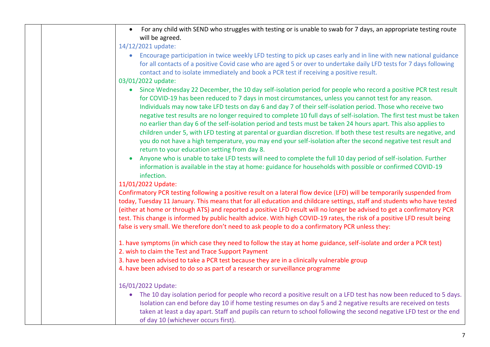| For any child with SEND who struggles with testing or is unable to swab for 7 days, an appropriate testing route<br>will be agreed.                                                                                                                                                                                                                                                                                                                                                                                                                                                                                                                                                                                                                                                                                                                                                     |
|-----------------------------------------------------------------------------------------------------------------------------------------------------------------------------------------------------------------------------------------------------------------------------------------------------------------------------------------------------------------------------------------------------------------------------------------------------------------------------------------------------------------------------------------------------------------------------------------------------------------------------------------------------------------------------------------------------------------------------------------------------------------------------------------------------------------------------------------------------------------------------------------|
| 14/12/2021 update:                                                                                                                                                                                                                                                                                                                                                                                                                                                                                                                                                                                                                                                                                                                                                                                                                                                                      |
| Encourage participation in twice weekly LFD testing to pick up cases early and in line with new national guidance<br>$\bullet$<br>for all contacts of a positive Covid case who are aged 5 or over to undertake daily LFD tests for 7 days following<br>contact and to isolate immediately and book a PCR test if receiving a positive result.                                                                                                                                                                                                                                                                                                                                                                                                                                                                                                                                          |
| 03/01/2022 update:                                                                                                                                                                                                                                                                                                                                                                                                                                                                                                                                                                                                                                                                                                                                                                                                                                                                      |
| Since Wednesday 22 December, the 10 day self-isolation period for people who record a positive PCR test result<br>$\bullet$<br>for COVID-19 has been reduced to 7 days in most circumstances, unless you cannot test for any reason.<br>Individuals may now take LFD tests on day 6 and day 7 of their self-isolation period. Those who receive two<br>negative test results are no longer required to complete 10 full days of self-isolation. The first test must be taken<br>no earlier than day 6 of the self-isolation period and tests must be taken 24 hours apart. This also applies to<br>children under 5, with LFD testing at parental or guardian discretion. If both these test results are negative, and<br>you do not have a high temperature, you may end your self-isolation after the second negative test result and<br>return to your education setting from day 8. |
| Anyone who is unable to take LFD tests will need to complete the full 10 day period of self-isolation. Further<br>$\bullet$<br>information is available in the stay at home: guidance for households with possible or confirmed COVID-19<br>infection.                                                                                                                                                                                                                                                                                                                                                                                                                                                                                                                                                                                                                                  |
| 11/01/2022 Update:                                                                                                                                                                                                                                                                                                                                                                                                                                                                                                                                                                                                                                                                                                                                                                                                                                                                      |
| Confirmatory PCR testing following a positive result on a lateral flow device (LFD) will be temporarily suspended from<br>today, Tuesday 11 January. This means that for all education and childcare settings, staff and students who have tested<br>(either at home or through ATS) and reported a positive LFD result will no longer be advised to get a confirmatory PCR<br>test. This change is informed by public health advice. With high COVID-19 rates, the risk of a positive LFD result being<br>false is very small. We therefore don't need to ask people to do a confirmatory PCR unless they:                                                                                                                                                                                                                                                                             |
| 1. have symptoms (in which case they need to follow the stay at home guidance, self-isolate and order a PCR test)<br>2. wish to claim the Test and Trace Support Payment<br>3. have been advised to take a PCR test because they are in a clinically vulnerable group<br>4. have been advised to do so as part of a research or surveillance programme                                                                                                                                                                                                                                                                                                                                                                                                                                                                                                                                  |
| 16/01/2022 Update:                                                                                                                                                                                                                                                                                                                                                                                                                                                                                                                                                                                                                                                                                                                                                                                                                                                                      |
| • The 10 day isolation period for people who record a positive result on a LFD test has now been reduced to 5 days.<br>Isolation can end before day 10 if home testing resumes on day 5 and 2 negative results are received on tests<br>taken at least a day apart. Staff and pupils can return to school following the second negative LFD test or the end<br>of day 10 (whichever occurs first).                                                                                                                                                                                                                                                                                                                                                                                                                                                                                      |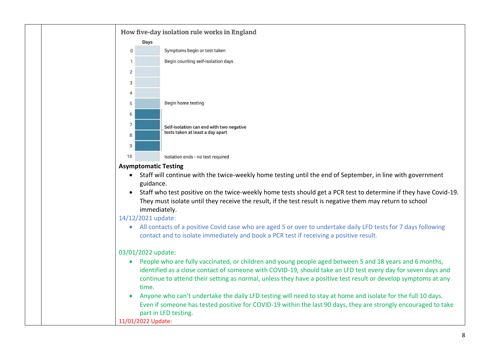

#### **Asymptomatic Testing**

- Staff will continue with the twice-weekly home testing until the end of September, in line with government guidance.
- Staff who test positive on the twice-weekly home tests should get a PCR test to determine if they have Covid-19. They must isolate until they receive the result, if the test result is negative them may return to school immediately.

# 14/12/2021 update:

• All contacts of a positive Covid case who are aged 5 or over to undertake daily LFD tests for 7 days following contact and to isolate immediately and book a PCR test if receiving a positive result.

# 03/01/2022 update:

- People who are fully vaccinated, or children and young people aged between 5 and 18 years and 6 months, identified as a close contact of someone with COVID-19, should take an LFD test every day for seven days and continue to attend their setting as normal, unless they have a positive test result or develop symptoms at any time.
- Anyone who can't undertake the daily LFD testing will need to stay at home and isolate for the full 10 days. Even if someone has tested positive for COVID-19 within the last 90 days, they are strongly encouraged to take part in LFD testing.

11/01/2022 Update: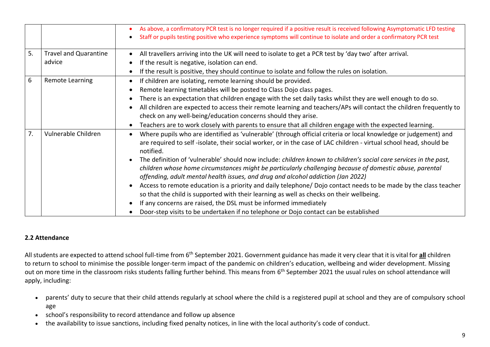|    |                                        | As above, a confirmatory PCR test is no longer required if a positive result is received following Asymptomatic LFD testing<br>Staff or pupils testing positive who experience symptoms will continue to isolate and order a confirmatory PCR test                                                                                                                                                                                                                                                                                                                                                                                                                                                                                                                                                                                                                                                                                                |
|----|----------------------------------------|---------------------------------------------------------------------------------------------------------------------------------------------------------------------------------------------------------------------------------------------------------------------------------------------------------------------------------------------------------------------------------------------------------------------------------------------------------------------------------------------------------------------------------------------------------------------------------------------------------------------------------------------------------------------------------------------------------------------------------------------------------------------------------------------------------------------------------------------------------------------------------------------------------------------------------------------------|
| 5. | <b>Travel and Quarantine</b><br>advice | All travellers arriving into the UK will need to isolate to get a PCR test by 'day two' after arrival.<br>If the result is negative, isolation can end.<br>If the result is positive, they should continue to isolate and follow the rules on isolation.                                                                                                                                                                                                                                                                                                                                                                                                                                                                                                                                                                                                                                                                                          |
| 6  | <b>Remote Learning</b>                 | If children are isolating, remote learning should be provided.<br>Remote learning timetables will be posted to Class Dojo class pages.<br>There is an expectation that children engage with the set daily tasks whilst they are well enough to do so.<br>All children are expected to access their remote learning and teachers/APs will contact the children frequently to<br>check on any well-being/education concerns should they arise.<br>Teachers are to work closely with parents to ensure that all children engage with the expected learning.                                                                                                                                                                                                                                                                                                                                                                                          |
| 7. | Vulnerable Children                    | Where pupils who are identified as 'vulnerable' (through official criteria or local knowledge or judgement) and<br>are required to self-isolate, their social worker, or in the case of LAC children - virtual school head, should be<br>notified.<br>The definition of 'vulnerable' should now include: children known to children's social care services in the past,<br>children whose home circumstances might be particularly challenging because of domestic abuse, parental<br>offending, adult mental health issues, and drug and alcohol addiction (Jan 2022)<br>Access to remote education is a priority and daily telephone/Dojo contact needs to be made by the class teacher<br>so that the child is supported with their learning as well as checks on their wellbeing.<br>If any concerns are raised, the DSL must be informed immediately<br>Door-step visits to be undertaken if no telephone or Dojo contact can be established |

# **2.2 Attendance**

All students are expected to attend school full-time from 6<sup>th</sup> September 2021. Government guidance has made it very clear that it is vital for all children to return to school to minimise the possible longer-term impact of the pandemic on children's education, wellbeing and wider development. Missing out on more time in the classroom risks students falling further behind. This means from 6<sup>th</sup> September 2021 the usual rules on school attendance will apply, including:

- parents' duty to secure that their child attends regularly at school where the child is a registered pupil at school and they are of compulsory school age
- school's responsibility to record attendance and follow up absence
- the availability to issue sanctions, including fixed penalty notices, in line with the local authority's code of conduct.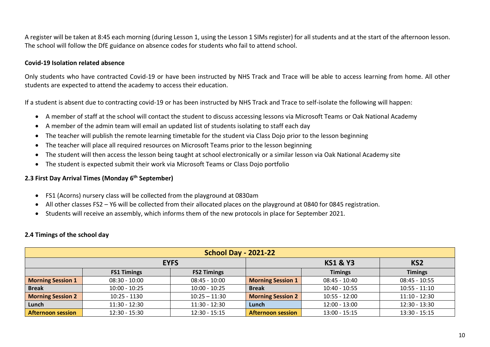A register will be taken at 8:45 each morning (during Lesson 1, using the Lesson 1 SIMs register) for all students and at the start of the afternoon lesson. The school will follow the DfE guidance on absence codes for students who fail to attend school.

#### **Covid-19 Isolation related absence**

Only students who have contracted Covid-19 or have been instructed by NHS Track and Trace will be able to access learning from home. All other students are expected to attend the academy to access their education.

If a student is absent due to contracting covid-19 or has been instructed by NHS Track and Trace to self-isolate the following will happen:

- A member of staff at the school will contact the student to discuss accessing lessons via Microsoft Teams or Oak National Academy
- A member of the admin team will email an updated list of students isolating to staff each day
- The teacher will publish the remote learning timetable for the student via Class Dojo prior to the lesson beginning
- The teacher will place all required resources on Microsoft Teams prior to the lesson beginning
- The student will then access the lesson being taught at school electronically or a similar lesson via Oak National Academy site
- The student is expected submit their work via Microsoft Teams or Class Dojo portfolio

#### **2.3 First Day Arrival Times (Monday 6th September)**

- FS1 (Acorns) nursery class will be collected from the playground at 0830am
- All other classes FS2 Y6 will be collected from their allocated places on the playground at 0840 for 0845 registration.
- Students will receive an assembly, which informs them of the new protocols in place for September 2021.

#### **2.4 Timings of the school day**

| <b>School Day - 2021-22</b> |                    |                    |                          |                     |                 |  |  |  |
|-----------------------------|--------------------|--------------------|--------------------------|---------------------|-----------------|--|--|--|
|                             |                    | <b>EYFS</b>        |                          | <b>KS1 &amp; Y3</b> | KS <sub>2</sub> |  |  |  |
|                             | <b>FS1 Timings</b> | <b>FS2 Timings</b> |                          | <b>Timings</b>      | <b>Timings</b>  |  |  |  |
| <b>Morning Session 1</b>    | $08:30 - 10:00$    | $08:45 - 10:00$    | <b>Morning Session 1</b> | $08:45 - 10:40$     | $08:45 - 10:55$ |  |  |  |
| <b>Break</b>                | $10:00 - 10:25$    | $10:00 - 10:25$    | <b>Break</b>             | 10:40 - 10:55       | $10:55 - 11:10$ |  |  |  |
| <b>Morning Session 2</b>    | $10:25 - 1130$     | $10:25 - 11:30$    | <b>Morning Session 2</b> | $10:55 - 12:00$     | $11:10 - 12:30$ |  |  |  |
| Lunch                       | $11:30 - 12:30$    | $11:30 - 12:30$    | Lunch                    | $12:00 - 13:00$     | $12:30 - 13:30$ |  |  |  |
| <b>Afternoon session</b>    | $12:30 - 15:30$    | $12:30 - 15:15$    | <b>Afternoon session</b> | $13:00 - 15:15$     | $13:30 - 15:15$ |  |  |  |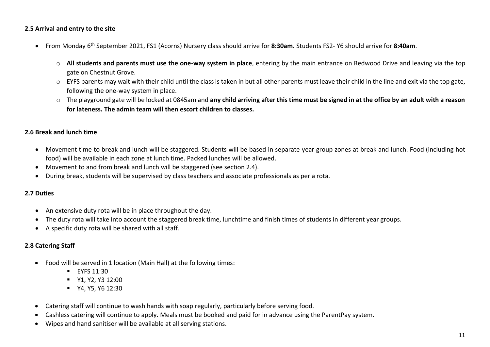#### **2.5 Arrival and entry to the site**

- From Monday 6 th September 2021, FS1 (Acorns) Nursery class should arrive for **8:30am.** Students FS2- Y6 should arrive for **8:40am**.
	- o **All students and parents must use the one-way system in place**, entering by the main entrance on Redwood Drive and leaving via the top gate on Chestnut Grove.
	- o EYFS parents may wait with their child until the class is taken in but all other parents must leave their child in the line and exit via the top gate, following the one-way system in place.
	- o The playground gate will be locked at 0845am and **any child arriving after this time must be signed in at the office by an adult with a reason for lateness. The admin team will then escort children to classes.**

# **2.6 Break and lunch time**

- Movement time to break and lunch will be staggered. Students will be based in separate year group zones at break and lunch. Food (including hot food) will be available in each zone at lunch time. Packed lunches will be allowed.
- Movement to and from break and lunch will be staggered (see section 2.4).
- During break, students will be supervised by class teachers and associate professionals as per a rota.

#### **2.7 Duties**

- An extensive duty rota will be in place throughout the day.
- The duty rota will take into account the staggered break time, lunchtime and finish times of students in different year groups.
- A specific duty rota will be shared with all staff.

# **2.8 Catering Staff**

- Food will be served in 1 location (Main Hall) at the following times:
	- **EYFS 11:30**
	- **•** Y1, Y2, Y3 12:00
	- **•** Y4, Y5, Y6 12:30
- Catering staff will continue to wash hands with soap regularly, particularly before serving food.
- Cashless catering will continue to apply. Meals must be booked and paid for in advance using the ParentPay system.
- Wipes and hand sanitiser will be available at all serving stations.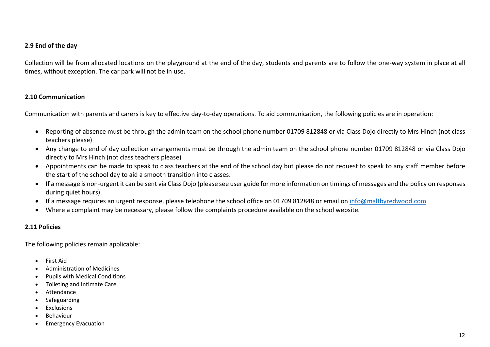#### **2.9 End of the day**

Collection will be from allocated locations on the playground at the end of the day, students and parents are to follow the one-way system in place at all times, without exception. The car park will not be in use.

#### **2.10 Communication**

Communication with parents and carers is key to effective day-to-day operations. To aid communication, the following policies are in operation:

- Reporting of absence must be through the admin team on the school phone number 01709 812848 or via Class Dojo directly to Mrs Hinch (not class teachers please)
- Any change to end of day collection arrangements must be through the admin team on the school phone number 01709 812848 or via Class Dojo directly to Mrs Hinch (not class teachers please)
- Appointments can be made to speak to class teachers at the end of the school day but please do not request to speak to any staff member before the start of the school day to aid a smooth transition into classes.
- If a message is non-urgent it can be sent via Class Dojo (please see user guide for more information on timings of messages and the policy on responses during quiet hours).
- If a message requires an urgent response, please telephone the school office on 01709 812848 or email on [info@maltbyredwood.com](mailto:info@maltbyredwood.com)
- Where a complaint may be necessary, please follow the complaints procedure available on the school website.

#### **2.11 Policies**

The following policies remain applicable:

- First Aid
- Administration of Medicines
- Pupils with Medical Conditions
- Toileting and Intimate Care
- **Attendance**
- **Safeguarding**
- Exclusions
- Behaviour
- Emergency Evacuation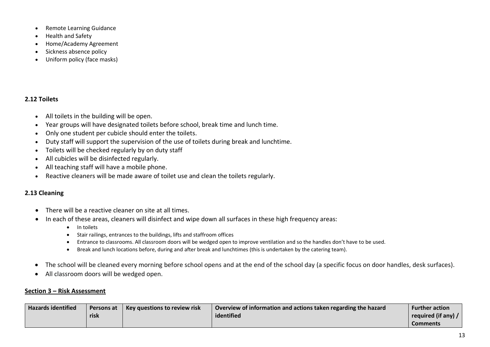- Remote Learning Guidance
- Health and Safety
- Home/Academy Agreement
- Sickness absence policy
- Uniform policy (face masks)

# **2.12 Toilets**

- All toilets in the building will be open.
- Year groups will have designated toilets before school, break time and lunch time.
- Only one student per cubicle should enter the toilets.
- Duty staff will support the supervision of the use of toilets during break and lunchtime.
- Toilets will be checked regularly by on duty staff
- All cubicles will be disinfected regularly.
- All teaching staff will have a mobile phone.
- Reactive cleaners will be made aware of toilet use and clean the toilets regularly.

# **2.13 Cleaning**

- There will be a reactive cleaner on site at all times.
- In each of these areas, cleaners will disinfect and wipe down all surfaces in these high frequency areas:
	- In toilets
	- Stair railings, entrances to the buildings, lifts and staffroom offices
	- Entrance to classrooms. All classroom doors will be wedged open to improve ventilation and so the handles don't have to be used.
	- Break and lunch locations before, during and after break and lunchtimes (this is undertaken by the catering team).
- The school will be cleaned every morning before school opens and at the end of the school day (a specific focus on door handles, desk surfaces).
- All classroom doors will be wedged open.

# **Section 3 – Risk Assessment**

| <b>Hazards identified</b> | Key questions to review risk<br>Persons at |  | Overview of information and actions taken regarding the hazard | <b>Further action</b> |
|---------------------------|--------------------------------------------|--|----------------------------------------------------------------|-----------------------|
|                           | risk                                       |  | identified                                                     | required (if any) /   |
|                           |                                            |  |                                                                | Comments              |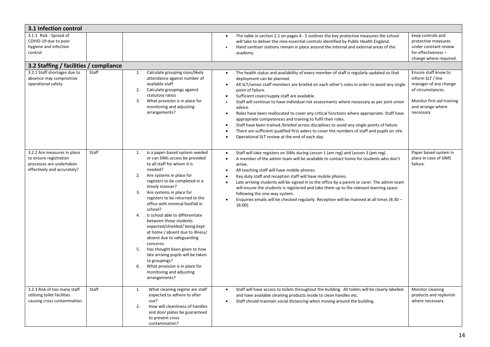| 3.1 Infection control                                                                                            |                                        |                                                                                                                                                                                                                                                                                                                                                                                                                                                                                                                                                                                                                                                                                               |                                                                                                                                                                                                                                                                                                                                                                                                                                                                                                                                                                                                                                                                                                                                                                                                                                                                                                             |                                                                                                                                                         |  |  |  |  |  |  |
|------------------------------------------------------------------------------------------------------------------|----------------------------------------|-----------------------------------------------------------------------------------------------------------------------------------------------------------------------------------------------------------------------------------------------------------------------------------------------------------------------------------------------------------------------------------------------------------------------------------------------------------------------------------------------------------------------------------------------------------------------------------------------------------------------------------------------------------------------------------------------|-------------------------------------------------------------------------------------------------------------------------------------------------------------------------------------------------------------------------------------------------------------------------------------------------------------------------------------------------------------------------------------------------------------------------------------------------------------------------------------------------------------------------------------------------------------------------------------------------------------------------------------------------------------------------------------------------------------------------------------------------------------------------------------------------------------------------------------------------------------------------------------------------------------|---------------------------------------------------------------------------------------------------------------------------------------------------------|--|--|--|--|--|--|
| 3.1.1 Risk - Spread of<br>COVID-19 due to poor<br>hygiene and infection<br>control                               |                                        |                                                                                                                                                                                                                                                                                                                                                                                                                                                                                                                                                                                                                                                                                               | The table in section 2.1 on pages 4 - 5 outlines the key protective measures the school<br>$\bullet$<br>will take to deliver the nine essential controls identified by Public Health England.<br>Hand sanitiser stations remain in place around the internal and external areas of the<br>$\bullet$<br>academy.                                                                                                                                                                                                                                                                                                                                                                                                                                                                                                                                                                                             | keep controls and<br>protective measures<br>under constant review<br>for effectiveness -<br>change where required.                                      |  |  |  |  |  |  |
|                                                                                                                  | 3.2 Staffing / facilities / compliance |                                                                                                                                                                                                                                                                                                                                                                                                                                                                                                                                                                                                                                                                                               |                                                                                                                                                                                                                                                                                                                                                                                                                                                                                                                                                                                                                                                                                                                                                                                                                                                                                                             |                                                                                                                                                         |  |  |  |  |  |  |
| 3.2.1 Staff shortages due to<br>absence may compromise<br>operational safety                                     | Staff                                  | Calculate grouping sizes/likely<br>1.<br>attendance against number of<br>available staff<br>2.<br>Calculate groupings against<br>statutory ratios<br>3.<br>What provision is in place for<br>monitoring and adjusting<br>arrangements?                                                                                                                                                                                                                                                                                                                                                                                                                                                        | The health status and availability of every member of staff is regularly updated so that<br>$\bullet$<br>deployment can be planned.<br>All SLT/senior staff members are briefed on each other's roles in order to avoid any single<br>$\bullet$<br>point of failure.<br>Sufficient cover/supply staff are available.<br>$\bullet$<br>Staff will continue to have individual risk assessments where necessary as per joint union<br>$\bullet$<br>advice.<br>Roles have been reallocated to cover any critical functions where appropriate. Staff have<br>$\bullet$<br>appropriate competences and training to fulfil their roles.<br>Staff have been trained /briefed across disciplines to avoid any single points of failure.<br>$\bullet$<br>There are sufficient qualified first aiders to cover the numbers of staff and pupils on site.<br>$\bullet$<br>Operational SLT review at the end of each day. | Ensure staff know to<br>inform SLT / line<br>manager of any change<br>of circumstances.<br>Monitor first aid training<br>and arrange where<br>necessary |  |  |  |  |  |  |
| 3.2.2 Are measures in place<br>to ensure registration<br>processes are undertaken<br>effectively and accurately? | Staff                                  | Is a paper-based system needed<br>1.<br>or can SIMs access be provided<br>to all staff for whom it is<br>needed?<br>2.<br>Are systems in place for<br>registers to be completed in a<br>timely manner?<br>3.<br>Are systems in place for<br>registers to be returned to the<br>office with minimal footfall in<br>school?<br>Is school able to differentiate<br>4.<br>between those students<br>expected/shielded/being kept<br>at home / absent due to illness/<br>absent due to safeguarding<br>concerns<br>Has thought been given to how<br>5.<br>late arriving pupils will be taken<br>to groupings?<br>6.<br>What provision is in place for<br>monitoring and adjusting<br>arrangements? | Staff will take registers on SIMs during Lesson 1 (am reg) and Lesson 3 (pm reg).<br>$\bullet$<br>A member of the admin team will be available to contact home for students who don't<br>$\bullet$<br>arrive.<br>All teaching staff will have mobile phones.<br>$\bullet$<br>Key duty staff and reception staff will have mobile phones.<br>$\bullet$<br>Late arriving students will be signed in to the office by a parent or carer. The admin team<br>will ensure the students is registered and take them up to the relevant learning space<br>following the one-way system.<br>Enquiries emails will be checked regularly. Reception will be manned at all times (8:30 -<br>$16:00$ ).                                                                                                                                                                                                                  | Paper based system in<br>place in case of SIMS<br>failure.                                                                                              |  |  |  |  |  |  |
| 3.2.3 Risk of too many staff<br>utilising toilet facilities<br>causing cross contamination.                      | Staff                                  | 1.<br>What cleaning regime are staff<br>expected to adhere to after<br>use?<br>2.<br>How will cleanliness of handles<br>and door plates be guaranteed<br>to prevent cross<br>contamination?                                                                                                                                                                                                                                                                                                                                                                                                                                                                                                   | Staff will have access to toilets throughout the building. All toilets will be clearly labelled<br>$\bullet$<br>and have available cleaning products inside to clean handles etc.<br>Staff should maintain social distancing when moving around the building.<br>$\bullet$                                                                                                                                                                                                                                                                                                                                                                                                                                                                                                                                                                                                                                  | Monitor cleaning<br>products and replenish<br>where necessary.                                                                                          |  |  |  |  |  |  |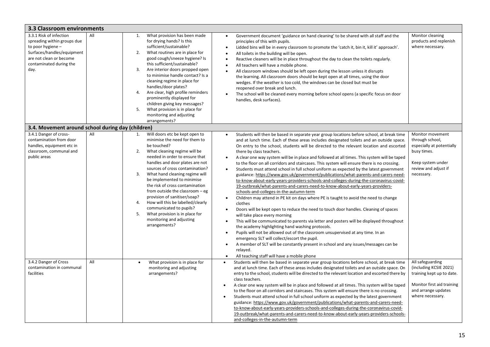| 3.3 Classroom environments                                                                                                                                              |     |                            |                                                                                                                                                                                                                                                                                                                                                                                                                                                                                                                                               |                                                                                                                                                                                                                                                                                                                                                                                                                                                                                                                                                                                                                                                                                                                                                                                                                                                                                                                                                                                                                                                                                                                                                                                                                                                                                                                                                                                                                                                                                                                                                                                                                                                                                             |                                                                                                                                                  |
|-------------------------------------------------------------------------------------------------------------------------------------------------------------------------|-----|----------------------------|-----------------------------------------------------------------------------------------------------------------------------------------------------------------------------------------------------------------------------------------------------------------------------------------------------------------------------------------------------------------------------------------------------------------------------------------------------------------------------------------------------------------------------------------------|---------------------------------------------------------------------------------------------------------------------------------------------------------------------------------------------------------------------------------------------------------------------------------------------------------------------------------------------------------------------------------------------------------------------------------------------------------------------------------------------------------------------------------------------------------------------------------------------------------------------------------------------------------------------------------------------------------------------------------------------------------------------------------------------------------------------------------------------------------------------------------------------------------------------------------------------------------------------------------------------------------------------------------------------------------------------------------------------------------------------------------------------------------------------------------------------------------------------------------------------------------------------------------------------------------------------------------------------------------------------------------------------------------------------------------------------------------------------------------------------------------------------------------------------------------------------------------------------------------------------------------------------------------------------------------------------|--------------------------------------------------------------------------------------------------------------------------------------------------|
| 3.3.1 Risk of infection<br>spreading within groups due<br>to poor hygiene -<br>Surfaces/handles/equipment<br>are not clean or become<br>contaminated during the<br>day. | All | 1.<br>2.<br>4.<br>5.       | What provision has been made<br>for drying hands? Is this<br>sufficient/sustainable?<br>What routines are in place for<br>good cough/sneeze hygiene? Is<br>this sufficient/sustainable?<br>Are interior doors propped open<br>to minimise handle contact? Is a<br>cleaning regime in place for<br>handles/door plates?<br>Are clear, high profile reminders<br>prominently displayed for<br>children giving key messages?<br>What provision is in place for<br>monitoring and adjusting<br>arrangements?                                      | Government document 'guidance on hand cleaning' to be shared with all staff and the<br>$\bullet$<br>principles of this with pupils.<br>Lidded bins will be in every classroom to promote the 'catch it, bin it, kill it' approach'.<br>$\bullet$<br>All toilets in the building will be open.<br>$\bullet$<br>Reactive cleaners will be in place throughout the day to clean the toilets regularly.<br>$\bullet$<br>All teachers will have a mobile phone.<br>$\bullet$<br>All classroom windows should be left open during the lesson unless it disrupts<br>$\bullet$<br>the learning. All classroom doors should be kept open at all times, using the door<br>wedges. If the weather is too cold, the windows can be closed but must be<br>reopened over break and lunch.<br>The school will be cleaned every morning before school opens (a specific focus on door<br>$\bullet$<br>handles, desk surfaces).                                                                                                                                                                                                                                                                                                                                                                                                                                                                                                                                                                                                                                                                                                                                                                              | Monitor cleaning<br>products and replenish<br>where necessary.                                                                                   |
| 3.4. Movement around school during day (children)                                                                                                                       |     |                            |                                                                                                                                                                                                                                                                                                                                                                                                                                                                                                                                               |                                                                                                                                                                                                                                                                                                                                                                                                                                                                                                                                                                                                                                                                                                                                                                                                                                                                                                                                                                                                                                                                                                                                                                                                                                                                                                                                                                                                                                                                                                                                                                                                                                                                                             |                                                                                                                                                  |
| 3.4.1 Danger of cross-<br>contamination from door<br>handles, equipment etc in<br>classroom, communal and<br>public areas                                               | All | 1.<br>2.<br>3.<br>4.<br>5. | Will doors etc be kept open to<br>minimise the need for them to<br>be touched?<br>What cleaning regime will be<br>needed in order to ensure that<br>handles and door plates are not<br>sources of cross contamination?<br>What hand cleaning regime will<br>be implemented to minimise<br>the risk of cross contamination<br>from outside the classroom $-$ eg<br>provision of sanitiser/soap?<br>How will this be labelled/clearly<br>communicated to pupils?<br>What provision is in place for<br>monitoring and adjusting<br>arrangements? | Students will then be based in separate year group locations before school, at break time<br>$\bullet$<br>and at lunch time. Each of these areas includes designated toilets and an outside space.<br>On entry to the school, students will be directed to the relevant location and escorted<br>there by class teachers.<br>A clear one way system will be in place and followed at all times. This system will be taped<br>$\bullet$<br>to the floor on all corridors and staircases. This system will ensure there is no crossing.<br>Students must attend school in full school uniform as expected by the latest government<br>$\bullet$<br>guidance: https://www.gov.uk/government/publications/what-parents-and-carers-need-<br>to-know-about-early-years-providers-schools-and-colleges-during-the-coronavirus-covid-<br>19-outbreak/what-parents-and-carers-need-to-know-about-early-years-providers-<br>schools-and-colleges-in-the-autumn-term<br>Children may attend in PE kit on days where PE is taught to avoid the need to change<br>$\bullet$<br>clothes<br>Doors will be kept open to reduce the need to touch door handles. Cleaning of spaces<br>$\bullet$<br>will take place every morning<br>This will be communicated to parents via letter and posters will be displayed throughout<br>$\bullet$<br>the academy highlighting hand washing protocols.<br>Pupils will not be allowed out of the classroom unsupervised at any time. In an<br>$\bullet$<br>emergency SLT will collect/escort the pupil.<br>A member of SLT will be constantly present in school and any issues/messages can be<br>$\bullet$<br>relayed.<br>All teaching staff will have a mobile phone | Monitor movement<br>through school,<br>especially at potentially<br>busy times.<br>Keep system under<br>review and adjust if<br>necessary.       |
| 3.4.2 Danger of Cross<br>contamination in communal<br>facilities                                                                                                        | All | $\bullet$                  | What provision is in place for<br>monitoring and adjusting<br>arrangements?                                                                                                                                                                                                                                                                                                                                                                                                                                                                   | Students will then be based in separate year group locations before school, at break time<br>$\bullet$<br>and at lunch time. Each of these areas includes designated toilets and an outside space. On<br>entry to the school, students will be directed to the relevant location and escorted there by<br>class teachers.<br>A clear one way system will be in place and followed at all times. This system will be taped<br>$\bullet$<br>to the floor on all corridors and staircases. This system will ensure there is no crossing.<br>Students must attend school in full school uniform as expected by the latest government<br>$\bullet$<br>guidance: https://www.gov.uk/government/publications/what-parents-and-carers-need-<br>to-know-about-early-years-providers-schools-and-colleges-during-the-coronavirus-covid-<br>19-outbreak/what-parents-and-carers-need-to-know-about-early-years-providers-schools-<br>and-colleges-in-the-autumn-term                                                                                                                                                                                                                                                                                                                                                                                                                                                                                                                                                                                                                                                                                                                                   | All safeguarding<br>(including KCSIE 2021)<br>training kept up to date.<br>Monitor first aid training<br>and arrange updates<br>where necessary. |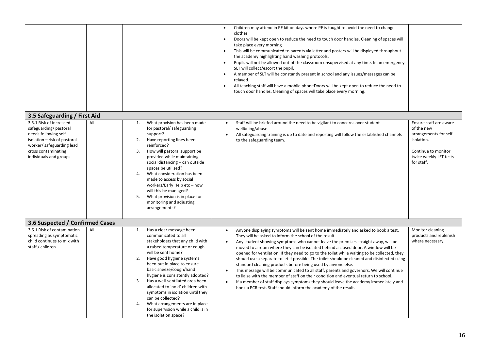|                                                                                                                                                                                                |                                                                                                                                                                                                                                                                                                                                                                                                                                                                                                         | Children may attend in PE kit on days where PE is taught to avoid the need to change<br>clothes<br>Doors will be kept open to reduce the need to touch door handles. Cleaning of spaces will<br>take place every morning<br>This will be communicated to parents via letter and posters will be displayed throughout<br>$\bullet$<br>the academy highlighting hand washing protocols.<br>Pupils will not be allowed out of the classroom unsupervised at any time. In an emergency<br>$\bullet$<br>SLT will collect/escort the pupil.<br>A member of SLT will be constantly present in school and any issues/messages can be<br>$\bullet$<br>relayed.<br>All teaching staff will have a mobile phoneDoors will be kept open to reduce the need to<br>$\bullet$<br>touch door handles. Cleaning of spaces will take place every morning.                                                                                                                                                  |                                                                                                                                            |
|------------------------------------------------------------------------------------------------------------------------------------------------------------------------------------------------|---------------------------------------------------------------------------------------------------------------------------------------------------------------------------------------------------------------------------------------------------------------------------------------------------------------------------------------------------------------------------------------------------------------------------------------------------------------------------------------------------------|------------------------------------------------------------------------------------------------------------------------------------------------------------------------------------------------------------------------------------------------------------------------------------------------------------------------------------------------------------------------------------------------------------------------------------------------------------------------------------------------------------------------------------------------------------------------------------------------------------------------------------------------------------------------------------------------------------------------------------------------------------------------------------------------------------------------------------------------------------------------------------------------------------------------------------------------------------------------------------------|--------------------------------------------------------------------------------------------------------------------------------------------|
| 3.5 Safeguarding / First Aid                                                                                                                                                                   |                                                                                                                                                                                                                                                                                                                                                                                                                                                                                                         |                                                                                                                                                                                                                                                                                                                                                                                                                                                                                                                                                                                                                                                                                                                                                                                                                                                                                                                                                                                          |                                                                                                                                            |
| 3.5.1 Risk of increased<br>All<br>safeguarding/pastoral<br>needs following self-<br>isolation - risk of pastoral<br>worker/ safeguarding lead<br>cross contaminating<br>individuals and groups | What provision has been made<br>1.<br>for pastoral/ safeguarding<br>support?<br>Have reporting lines been<br>2.<br>reinforced?<br>How will pastoral support be<br>3.<br>provided while maintaining<br>social distancing - can outside<br>spaces be utilised?<br>4.<br>What consideration has been<br>made to access by social<br>workers/Early Help etc - how<br>will this be managed?<br>5.<br>What provision is in place for<br>monitoring and adjusting<br>arrangements?                             | Staff will be briefed around the need to be vigilant to concerns over student<br>$\bullet$<br>wellbeing/abuse.<br>All safeguarding training is up to date and reporting will follow the established channels<br>$\bullet$<br>to the safeguarding team.                                                                                                                                                                                                                                                                                                                                                                                                                                                                                                                                                                                                                                                                                                                                   | Ensure staff are aware<br>of the new<br>arrangements for self<br>isolation.<br>Continue to monitor<br>twice weekly LFT tests<br>for staff. |
| 3.6 Suspected / Confirmed Cases                                                                                                                                                                |                                                                                                                                                                                                                                                                                                                                                                                                                                                                                                         |                                                                                                                                                                                                                                                                                                                                                                                                                                                                                                                                                                                                                                                                                                                                                                                                                                                                                                                                                                                          |                                                                                                                                            |
| 3.6.1 Risk of contamination<br>All<br>spreading as symptomatic<br>child continues to mix with<br>staff / children                                                                              | Has a clear message been<br>1.<br>communicated to all<br>stakeholders that any child with<br>a raised temperature or cough<br>will be sent home?<br>Have good hygiene systems<br>2.<br>been put in place to ensure<br>basic sneeze/cough/hand<br>hygiene is consistently adopted?<br>3.<br>Has a well-ventilated area been<br>allocated to 'hold' children with<br>symptoms in isolation until they<br>can be collected?<br>What arrangements are in place<br>4.<br>for supervision while a child is in | Anyone displaying symptoms will be sent home immediately and asked to book a test.<br>$\bullet$<br>They will be asked to inform the school of the result.<br>Any student showing symptoms who cannot leave the premises straight away, will be<br>$\bullet$<br>moved to a room where they can be isolated behind a closed door. A window will be<br>opened for ventilation. If they need to go to the toilet while waiting to be collected, they<br>should use a separate toilet if possible. The toilet should be cleaned and disinfected using<br>standard cleaning products before being used by anyone else.<br>This message will be communicated to all staff, parents and governors. We will continue<br>$\bullet$<br>to liaise with the member of staff on their condition and eventual return to school.<br>If a member of staff displays symptoms they should leave the academy immediately and<br>$\bullet$<br>book a PCR test. Staff should inform the academy of the result. | Monitor cleaning<br>products and replenish<br>where necessary.                                                                             |